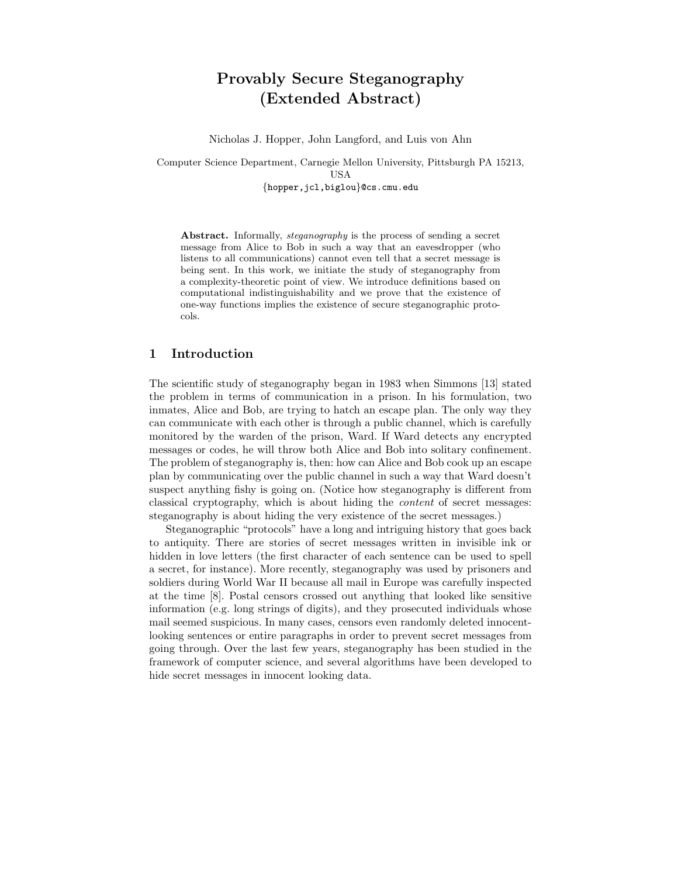# Provably Secure Steganography (Extended Abstract)

Nicholas J. Hopper, John Langford, and Luis von Ahn

Computer Science Department, Carnegie Mellon University, Pittsburgh PA 15213, **USA** {hopper,jcl,biglou}@cs.cmu.edu

Abstract. Informally, *steganography* is the process of sending a secret message from Alice to Bob in such a way that an eavesdropper (who listens to all communications) cannot even tell that a secret message is being sent. In this work, we initiate the study of steganography from a complexity-theoretic point of view. We introduce definitions based on computational indistinguishability and we prove that the existence of one-way functions implies the existence of secure steganographic protocols.

# 1 Introduction

The scientific study of steganography began in 1983 when Simmons [13] stated the problem in terms of communication in a prison. In his formulation, two inmates, Alice and Bob, are trying to hatch an escape plan. The only way they can communicate with each other is through a public channel, which is carefully monitored by the warden of the prison, Ward. If Ward detects any encrypted messages or codes, he will throw both Alice and Bob into solitary confinement. The problem of steganography is, then: how can Alice and Bob cook up an escape plan by communicating over the public channel in such a way that Ward doesn't suspect anything fishy is going on. (Notice how steganography is different from classical cryptography, which is about hiding the content of secret messages: steganography is about hiding the very existence of the secret messages.)

Steganographic "protocols" have a long and intriguing history that goes back to antiquity. There are stories of secret messages written in invisible ink or hidden in love letters (the first character of each sentence can be used to spell a secret, for instance). More recently, steganography was used by prisoners and soldiers during World War II because all mail in Europe was carefully inspected at the time [8]. Postal censors crossed out anything that looked like sensitive information (e.g. long strings of digits), and they prosecuted individuals whose mail seemed suspicious. In many cases, censors even randomly deleted innocentlooking sentences or entire paragraphs in order to prevent secret messages from going through. Over the last few years, steganography has been studied in the framework of computer science, and several algorithms have been developed to hide secret messages in innocent looking data.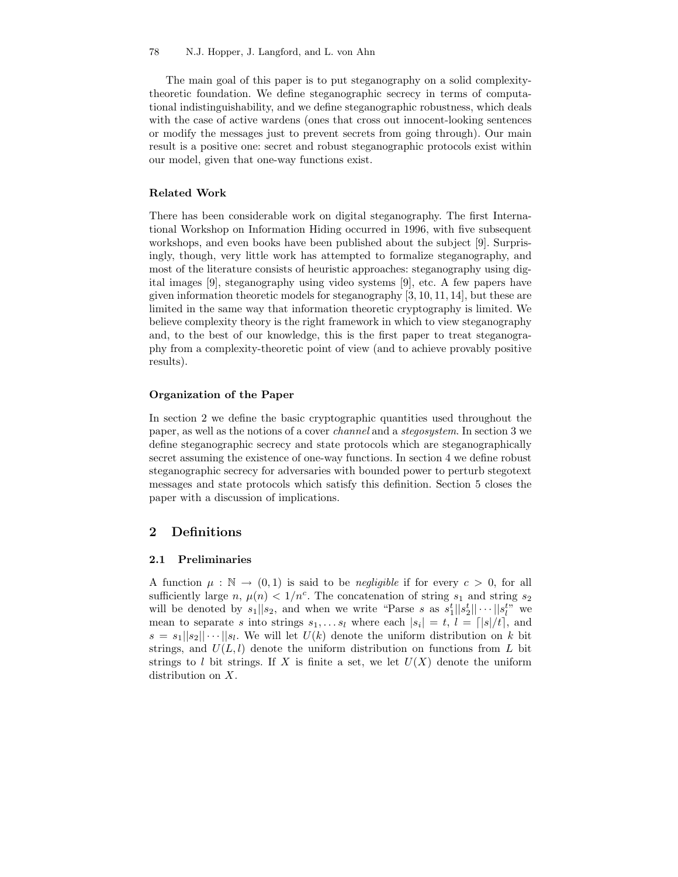#### 78 N.J. Hopper, J. Langford, and L. von Ahn

The main goal of this paper is to put steganography on a solid complexitytheoretic foundation. We define steganographic secrecy in terms of computational indistinguishability, and we define steganographic robustness, which deals with the case of active wardens (ones that cross out innocent-looking sentences or modify the messages just to prevent secrets from going through). Our main result is a positive one: secret and robust steganographic protocols exist within our model, given that one-way functions exist.

# Related Work

There has been considerable work on digital steganography. The first International Workshop on Information Hiding occurred in 1996, with five subsequent workshops, and even books have been published about the subject [9]. Surprisingly, though, very little work has attempted to formalize steganography, and most of the literature consists of heuristic approaches: steganography using digital images [9], steganography using video systems [9], etc. A few papers have given information theoretic models for steganography [3, 10, 11, 14], but these are limited in the same way that information theoretic cryptography is limited. We believe complexity theory is the right framework in which to view steganography and, to the best of our knowledge, this is the first paper to treat steganography from a complexity-theoretic point of view (and to achieve provably positive results).

# Organization of the Paper

In section 2 we define the basic cryptographic quantities used throughout the paper, as well as the notions of a cover channel and a stegosystem. In section 3 we define steganographic secrecy and state protocols which are steganographically secret assuming the existence of one-way functions. In section 4 we define robust steganographic secrecy for adversaries with bounded power to perturb stegotext messages and state protocols which satisfy this definition. Section 5 closes the paper with a discussion of implications.

# 2 Definitions

# 2.1 Preliminaries

A function  $\mu : \mathbb{N} \to (0,1)$  is said to be *negligible* if for every  $c > 0$ , for all sufficiently large  $n, \mu(n) < 1/n^c$ . The concatenation of string  $s_1$  and string  $s_2$ will be denoted by  $s_1||s_2$ , and when we write "Parse s as  $s_1^t||s_2^t|| \cdots ||s_l^{t}$ " we mean to separate s into strings  $s_1, \ldots s_l$  where each  $|s_i| = t, l = \lceil |s|/t \rceil$ , and  $s = s_1 ||s_2|| \cdots ||s_l$ . We will let  $U(k)$  denote the uniform distribution on k bit strings, and  $U(L, l)$  denote the uniform distribution on functions from L bit strings to l bit strings. If X is finite a set, we let  $U(X)$  denote the uniform distribution on X.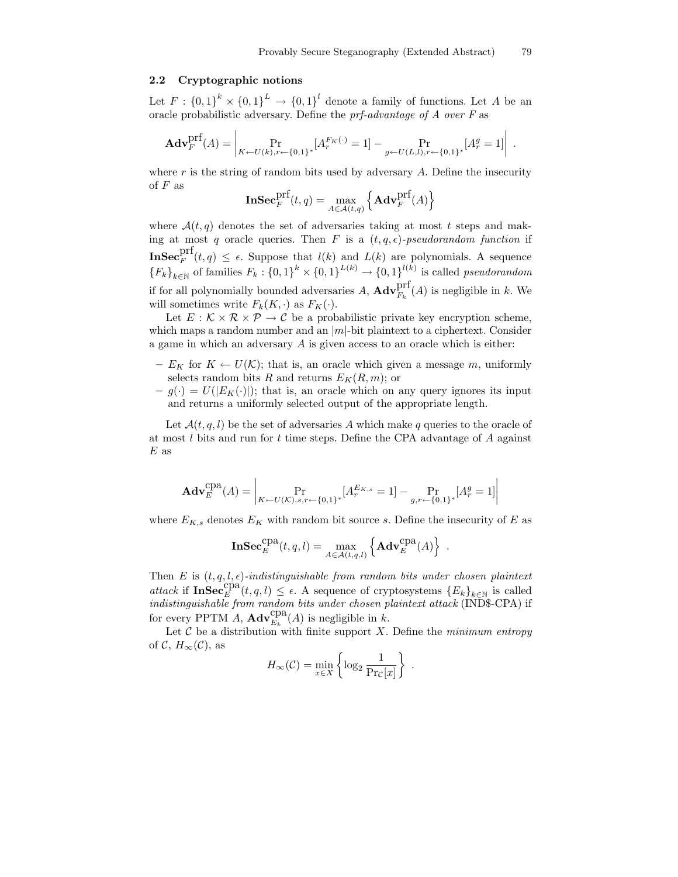## 2.2 Cryptographic notions

Let  $F: \{0,1\}^k \times \{0,1\}^L \to \{0,1\}^l$  denote a family of functions. Let A be an oracle probabilistic adversary. Define the prf-advantage of A over F as

$$
\mathbf{Adv}_{F}^{\text{prf}}(A) = \begin{vmatrix} \Pr_{K \leftarrow U(k), r \leftarrow \{0,1\}^{*}} [A_{r}^{F_{K}(\cdot)} = 1] - \Pr_{g \leftarrow U(L,l), r \leftarrow \{0,1\}^{*}} [A_{r}^{g} = 1] \end{vmatrix}.
$$

where  $r$  is the string of random bits used by adversary  $A$ . Define the insecurity of  $F$  as

$$
\mathbf{InSec}_F^{\text{prf}}(t,q) = \max_{A \in \mathcal{A}(t,q)} \left\{ \mathbf{Adv}_F^{\text{prf}}(A) \right\}
$$

where  $\mathcal{A}(t, q)$  denotes the set of adversaries taking at most t steps and making at most q oracle queries. Then F is a  $(t, q, \epsilon)$ -pseudorandom function if **InSec**<sup>prf</sup> $(t, q) \leq \epsilon$ . Suppose that  $l(k)$  and  $L(k)$  are polynomials. A sequence  ${F_k}_{k\in\mathbb{N}}$  of families  $F_k: {0,1}^k \times {0,1}^{L(k)} \to {0,1}^{l(k)}$  is called *pseudorandom* if for all polynomially bounded adversaries A,  $\mathbf{Adv}_{F_k}^{\text{prf}}(A)$  is negligible in k. We will sometimes write  $F_k(K, \cdot)$  as  $F_K(\cdot)$ .

Let  $E : \mathcal{K} \times \mathcal{R} \times \mathcal{P} \to \mathcal{C}$  be a probabilistic private key encryption scheme, which maps a random number and an  $|m|$ -bit plaintext to a ciphertext. Consider a game in which an adversary A is given access to an oracle which is either:

- $E_K$  for  $K \leftarrow U(\mathcal{K})$ ; that is, an oracle which given a message m, uniformly selects random bits R and returns  $E_K(R, m)$ ; or
- $-g(\cdot) = U(|E_K(\cdot)|)$ ; that is, an oracle which on any query ignores its input and returns a uniformly selected output of the appropriate length.

Let  $\mathcal{A}(t, q, l)$  be the set of adversaries A which make q queries to the oracle of at most l bits and run for t time steps. Define the CPA advantage of A against  $E$  as

$$
\mathbf{Adv}_{E}^{\text{cpa}}(A) = \begin{vmatrix} \Pr_{K \leftarrow U(K), s, r \leftarrow \{0, 1\}^*} [A_r^{E_{K, s}} = 1] - \Pr_{g, r \leftarrow \{0, 1\}^*} [A_r^g = 1] \end{vmatrix} \right)
$$

where  $E_{K,s}$  denotes  $E_K$  with random bit source s. Define the insecurity of E as

$$
\mathbf{InSec}_E^{\mathrm{cpa}}(t,q,l)=\max_{A\in\mathcal{A}(t,q,l)}\left\{\mathbf{Adv}_E^{\mathrm{cpa}}(A)\right\}\ .
$$

Then E is  $(t, q, l, \epsilon)$ -indistinguishable from random bits under chosen plaintext attack if  $\text{InSec}_{E}^{\text{cpa}}(t, q, l) \leq \epsilon$ . A sequence of cryptosystems  $\{E_{k}\}_{k\in\mathbb{N}}$  is called indistinguishable from random bits under chosen plaintext attack (IND\$-CPA) if for every PPTM A,  $\mathbf{Adv}_{E_k}^{\text{cpa}}(A)$  is negligible in k.

Let  $\mathcal C$  be a distribution with finite support X. Define the *minimum entropy* of  $\mathcal{C}, H_{\infty}(\mathcal{C})$ , as

$$
H_{\infty}(\mathcal{C}) = \min_{x \in X} \left\{ \log_2 \frac{1}{\Pr_{\mathcal{C}}[x]} \right\} .
$$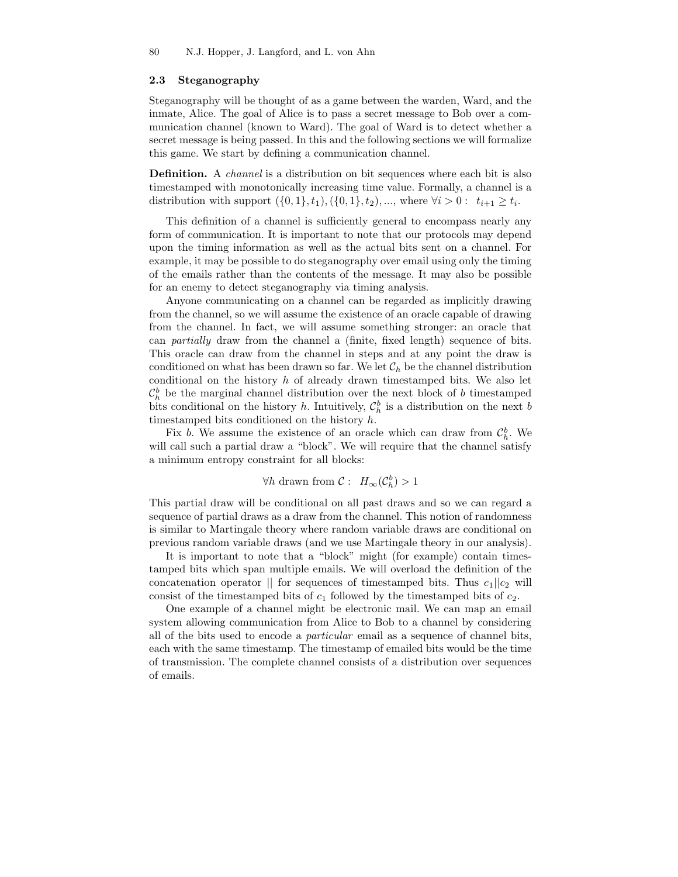#### 2.3 Steganography

Steganography will be thought of as a game between the warden, Ward, and the inmate, Alice. The goal of Alice is to pass a secret message to Bob over a communication channel (known to Ward). The goal of Ward is to detect whether a secret message is being passed. In this and the following sections we will formalize this game. We start by defining a communication channel.

**Definition.** A *channel* is a distribution on bit sequences where each bit is also timestamped with monotonically increasing time value. Formally, a channel is a distribution with support  $(\{0,1\}, t_1), (\{0,1\}, t_2), ...,$  where  $\forall i > 0$ :  $t_{i+1} \geq t_i$ .

This definition of a channel is sufficiently general to encompass nearly any form of communication. It is important to note that our protocols may depend upon the timing information as well as the actual bits sent on a channel. For example, it may be possible to do steganography over email using only the timing of the emails rather than the contents of the message. It may also be possible for an enemy to detect steganography via timing analysis.

Anyone communicating on a channel can be regarded as implicitly drawing from the channel, so we will assume the existence of an oracle capable of drawing from the channel. In fact, we will assume something stronger: an oracle that can partially draw from the channel a (finite, fixed length) sequence of bits. This oracle can draw from the channel in steps and at any point the draw is conditioned on what has been drawn so far. We let  $\mathcal{C}_h$  be the channel distribution conditional on the history  $h$  of already drawn timestamped bits. We also let  $\mathcal{C}_h^b$  be the marginal channel distribution over the next block of b timestamped bits conditional on the history h. Intuitively,  $\mathcal{C}_h^b$  is a distribution on the next b timestamped bits conditioned on the history h.

Fix b. We assume the existence of an oracle which can draw from  $\mathcal{C}_h^b$ . We will call such a partial draw a "block". We will require that the channel satisfy a minimum entropy constraint for all blocks:

$$
\forall h \text{ drawn from } C: H_{\infty}(\mathcal{C}_h^b) > 1
$$

This partial draw will be conditional on all past draws and so we can regard a sequence of partial draws as a draw from the channel. This notion of randomness is similar to Martingale theory where random variable draws are conditional on previous random variable draws (and we use Martingale theory in our analysis).

It is important to note that a "block" might (for example) contain timestamped bits which span multiple emails. We will overload the definition of the concatenation operator  $\|\$  for sequences of timestamped bits. Thus  $c_1||c_2$  will consist of the timestamped bits of  $c_1$  followed by the timestamped bits of  $c_2$ .

One example of a channel might be electronic mail. We can map an email system allowing communication from Alice to Bob to a channel by considering all of the bits used to encode a particular email as a sequence of channel bits, each with the same timestamp. The timestamp of emailed bits would be the time of transmission. The complete channel consists of a distribution over sequences of emails.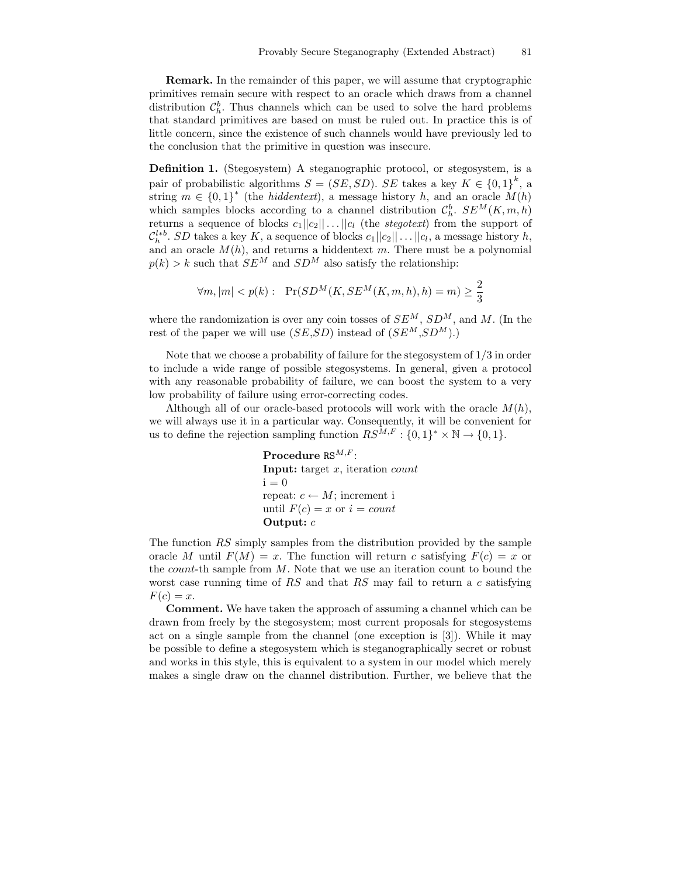Remark. In the remainder of this paper, we will assume that cryptographic primitives remain secure with respect to an oracle which draws from a channel distribution  $\mathcal{C}_h^b$ . Thus channels which can be used to solve the hard problems that standard primitives are based on must be ruled out. In practice this is of little concern, since the existence of such channels would have previously led to the conclusion that the primitive in question was insecure.

Definition 1. (Stegosystem) A steganographic protocol, or stegosystem, is a pair of probabilistic algorithms  $S = (SE, SD)$ . SE takes a key  $K \in \{0, 1\}^k$ , a string  $m \in \{0,1\}^*$  (the *hiddentext*), a message history h, and an oracle  $M(h)$ which samples blocks according to a channel distribution  $\mathcal{C}_h^b$ .  $SE^M(K, m, h)$ returns a sequence of blocks  $c_1||c_2|| \dots ||c_l$  (the *stegotext*) from the support of  $C_h^{l*b}$ . SD takes a key K, a sequence of blocks  $c_1||c_2|| \dots ||c_l$ , a message history h, and an oracle  $M(h)$ , and returns a hiddentext m. There must be a polynomial  $p(k) > k$  such that  $SE^M$  and  $SD^M$  also satisfy the relationship:

$$
\forall m, |m| < p(k): \quad \Pr(SD^M(K, SE^M(K, m, h), h) = m) \ge \frac{2}{3}
$$

where the randomization is over any coin tosses of  $SE^{M}$ ,  $SD^{M}$ , and M. (In the rest of the paper we will use  $(SE,SD)$  instead of  $(SE^M,SD^M)$ .

Note that we choose a probability of failure for the stegosystem of 1/3 in order to include a wide range of possible stegosystems. In general, given a protocol with any reasonable probability of failure, we can boost the system to a very low probability of failure using error-correcting codes.

Although all of our oracle-based protocols will work with the oracle  $M(h)$ , we will always use it in a particular way. Consequently, it will be convenient for us to define the rejection sampling function  $RS^{M,F} : \{0,1\}^* \times \mathbb{N} \to \{0,1\}.$ 

> Procedure  $RS^{M,F}$ : **Input:** target  $x$ , iteration *count*  $i = 0$ repeat:  $c \leftarrow M$ ; increment i until  $F(c) = x$  or  $i = count$ Output:  $c$

The function RS simply samples from the distribution provided by the sample oracle M until  $F(M) = x$ . The function will return c satisfying  $F(c) = x$  or the count-th sample from M. Note that we use an iteration count to bound the worst case running time of  $RS$  and that  $RS$  may fail to return a c satisfying  $F(c) = x$ .

Comment. We have taken the approach of assuming a channel which can be drawn from freely by the stegosystem; most current proposals for stegosystems act on a single sample from the channel (one exception is [3]). While it may be possible to define a stegosystem which is steganographically secret or robust and works in this style, this is equivalent to a system in our model which merely makes a single draw on the channel distribution. Further, we believe that the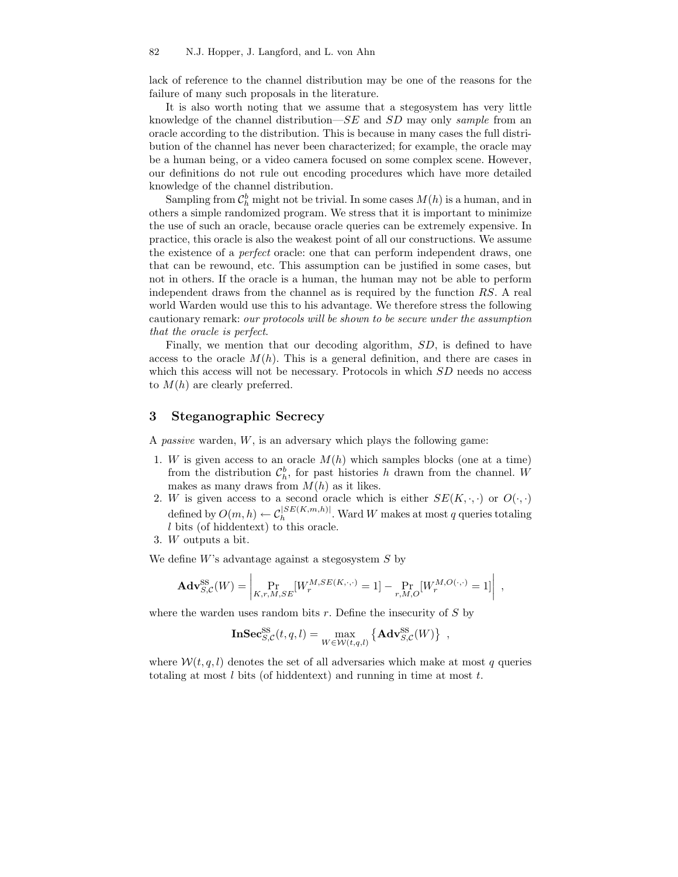lack of reference to the channel distribution may be one of the reasons for the failure of many such proposals in the literature.

It is also worth noting that we assume that a stegosystem has very little knowledge of the channel distribution— $SE$  and  $SD$  may only sample from an oracle according to the distribution. This is because in many cases the full distribution of the channel has never been characterized; for example, the oracle may be a human being, or a video camera focused on some complex scene. However, our definitions do not rule out encoding procedures which have more detailed knowledge of the channel distribution.

Sampling from  $\mathcal{C}_h^b$  might not be trivial. In some cases  $M(h)$  is a human, and in others a simple randomized program. We stress that it is important to minimize the use of such an oracle, because oracle queries can be extremely expensive. In practice, this oracle is also the weakest point of all our constructions. We assume the existence of a perfect oracle: one that can perform independent draws, one that can be rewound, etc. This assumption can be justified in some cases, but not in others. If the oracle is a human, the human may not be able to perform independent draws from the channel as is required by the function RS. A real world Warden would use this to his advantage. We therefore stress the following cautionary remark: our protocols will be shown to be secure under the assumption that the oracle is perfect.

Finally, we mention that our decoding algorithm, SD, is defined to have access to the oracle  $M(h)$ . This is a general definition, and there are cases in which this access will not be necessary. Protocols in which  $SD$  needs no access to  $M(h)$  are clearly preferred.

# 3 Steganographic Secrecy

A passive warden, W, is an adversary which plays the following game:

- 1. W is given access to an oracle  $M(h)$  which samples blocks (one at a time) from the distribution  $\mathcal{C}_h^b$ , for past histories h drawn from the channel. W makes as many draws from  $M(h)$  as it likes.
- 2. W is given access to a second oracle which is either  $SE(K, \cdot, \cdot)$  or  $O(\cdot, \cdot)$ defined by  $O(m, h) \leftarrow C_h^{|SE(K, m, h)|}$  $_{h}^{[SL(N,m,n)]}$ . Ward W makes at most q queries totaling l bits (of hiddentext) to this oracle.
- 3. W outputs a bit.

We define  $W$ 's advantage against a stegosystem  $S$  by

$$
\mathbf{Adv}_{S,C}^{\text{SS}}(W) = \begin{vmatrix} P_{r,m,MSE}(W_r^{M,SE(K,\cdot,\cdot)} = 1] - P_{r,M,O}^{\mathbf{Pr}}[W_r^{M,O(\cdot,\cdot)} = 1] \end{vmatrix},
$$

where the warden uses random bits  $r$ . Define the insecurity of  $S$  by

$$
\mathbf{InSec}_{S,C}^{\rm SS}(t,q,l)=\max_{W\in\mathcal{W}(t,q,l)}\left\{\mathbf{Adv}_{S,C}^{\rm SS}(W)\right\} ,
$$

where  $W(t, q, l)$  denotes the set of all adversaries which make at most q queries totaling at most  $l$  bits (of hiddentext) and running in time at most  $t$ .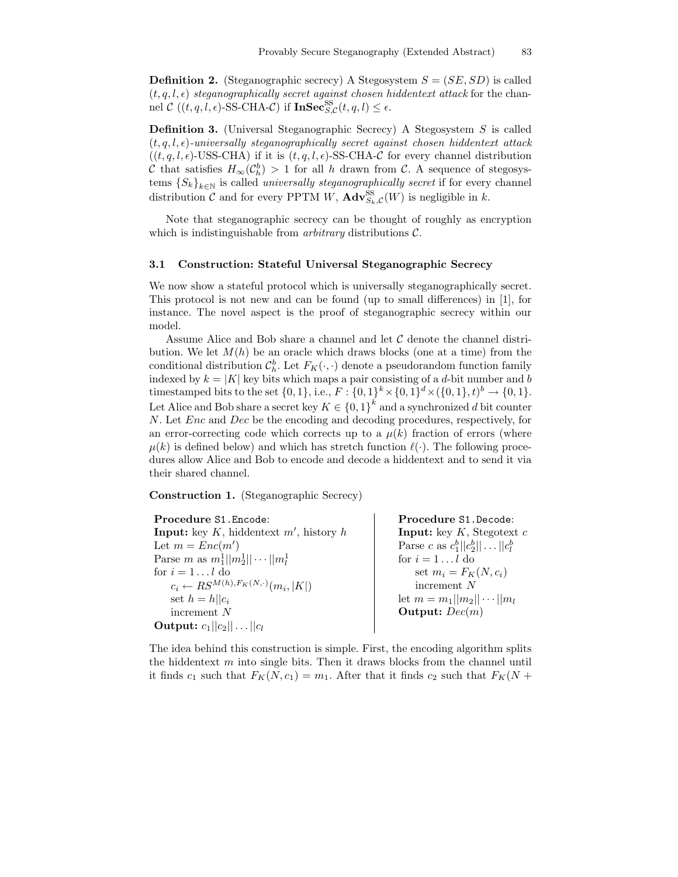**Definition 2.** (Steganographic secrecy) A Stegosystem  $S = (SE, SD)$  is called  $(t, q, l, \epsilon)$  steganographically secret against chosen hiddentext attack for the channel C  $((t, q, l, \epsilon)$ -SS-CHA-C) if  $\text{InSec}_{S,\mathcal{C}}^{SS}(t, q, l) \leq \epsilon$ .

**Definition 3.** (Universal Steganographic Secrecy) A Stegosystem  $S$  is called  $(t, q, l, \epsilon)$ -universally steganographically secret against chosen hiddentext attack  $((t, q, l, \epsilon)$ -USS-CHA) if it is  $(t, q, l, \epsilon)$ -SS-CHA-C for every channel distribution C that satisfies  $H_{\infty}(\mathcal{C}_h^b) > 1$  for all h drawn from C. A sequence of stegosystems  $\{S_k\}_{k\in\mathbb{N}}$  is called *universally steganographically secret* if for every channel distribution  $\mathcal C$  and for every PPTM W,  $\mathbf{Adv}_{S_k, C}^{\mathbf{SS}}(W)$  is negligible in k.

Note that steganographic secrecy can be thought of roughly as encryption which is indistinguishable from *arbitrary* distributions  $\mathcal{C}$ .

#### 3.1 Construction: Stateful Universal Steganographic Secrecy

We now show a stateful protocol which is universally steganographically secret. This protocol is not new and can be found (up to small differences) in [1], for instance. The novel aspect is the proof of steganographic secrecy within our model.

Assume Alice and Bob share a channel and let C denote the channel distribution. We let  $M(h)$  be an oracle which draws blocks (one at a time) from the conditional distribution  $\mathcal{C}_h^b$ . Let  $F_K(\cdot, \cdot)$  denote a pseudorandom function family indexed by  $k = |K|$  key bits which maps a pair consisting of a d-bit number and b timestamped bits to the set  $\{0,1\}$ , i.e.,  $F: \{0,1\}^k \times \{0,1\}^d \times (\{0,1\},t)^b \to \{0,1\}$ . Let Alice and Bob share a secret key  $K \in \{0,1\}^k$  and a synchronized d bit counter N. Let Enc and Dec be the encoding and decoding procedures, respectively, for an error-correcting code which corrects up to a  $\mu(k)$  fraction of errors (where  $\mu(k)$  is defined below) and which has stretch function  $\ell(\cdot)$ . The following procedures allow Alice and Bob to encode and decode a hiddentext and to send it via their shared channel.

Construction 1. (Steganographic Secrecy)

Procedure S1.Encode: Input: key  $K$ , hiddentext  $m'$ , history h Let  $m = Enc(m')$ Parse *m* as  $m_1^1 || m_2^1 || \cdots || m_l^1$ for  $i=1\ldots l$  do  $c_i \leftarrow RS^{M(h),F_K(N,\cdot)}(m_i,|K|)$ set  $h = h||c_i$ increment N **Output:**  $c_1||c_2|| \ldots ||c_l$ 

Procedure S1.Decode: **Input:** key  $K$ , Stegotext  $c$ Parse c as  $c_1^b || c_2^b || \ldots || c_l^b$ for  $i=1\ldots l$  do set  $m_i = F_K(N, c_i)$ increment N let  $m = m_1 || m_2 || \cdots || m_l$ Output:  $Dec(m)$ 

The idea behind this construction is simple. First, the encoding algorithm splits the hiddentext  $m$  into single bits. Then it draws blocks from the channel until it finds  $c_1$  such that  $F_K(N, c_1) = m_1$ . After that it finds  $c_2$  such that  $F_K(N +$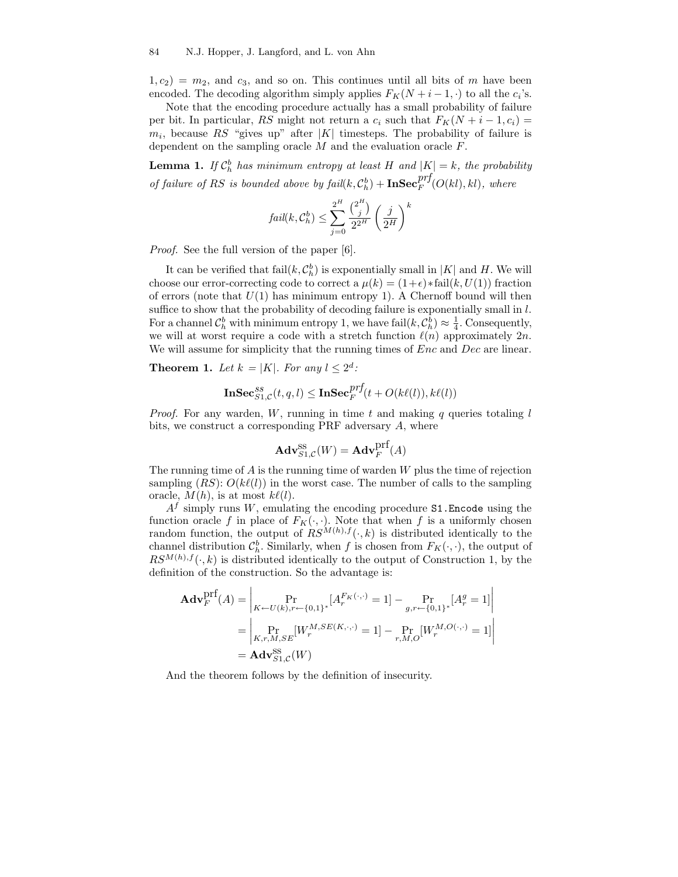$1, c_2$  =  $m_2$ , and  $c_3$ , and so on. This continues until all bits of m have been encoded. The decoding algorithm simply applies  $F_K(N+i-1, \cdot)$  to all the  $c_i$ 's.

Note that the encoding procedure actually has a small probability of failure per bit. In particular, RS might not return a  $c_i$  such that  $F_K(N+i-1, c_i)$  $m_i$ , because RS "gives up" after |K| timesteps. The probability of failure is dependent on the sampling oracle  $M$  and the evaluation oracle  $F$ .

**Lemma 1.** If  $\mathcal{C}_h^b$  has minimum entropy at least H and  $|K| = k$ , the probability of failure of RS is bounded above by  $\text{fail}(k, \mathcal{C}_h^b) + \text{InSec}_F^{\text{prf}}(O(kl), kl)$ , where

$$
\mathit{fail}(k,\mathcal{C}_h^b) \leq \sum_{j=0}^{2^H}\frac{\binom{2^H}{j}}{2^{2^H}}\left(\frac{j}{2^H}\right)^k
$$

Proof. See the full version of the paper [6].

It can be verified that  $\text{fail}(k, \mathcal{C}_h^b)$  is exponentially small in |K| and H. We will choose our error-correcting code to correct a  $\mu(k) = (1+\epsilon)*\text{fail}(k, U(1))$  fraction of errors (note that  $U(1)$  has minimum entropy 1). A Chernoff bound will then suffice to show that the probability of decoding failure is exponentially small in  $l$ . For a channel  $C_h^b$  with minimum entropy 1, we have fail $(k, C_h^b) \approx \frac{1}{4}$ . Consequently, we will at worst require a code with a stretch function  $\ell(n)$  approximately  $2n$ . We will assume for simplicity that the running times of *Enc* and *Dec* are linear.

**Theorem 1.** Let  $k = |K|$ . For any  $l \leq 2^d$ :

$$
\mathbf{InSec}_{S1,\mathcal{C}}^{SS}(t,q,l)\leq \mathbf{InSec}_F^{prf}(t+O(k\ell(l)),k\ell(l))
$$

*Proof.* For any warden,  $W$ , running in time  $t$  and making  $q$  queries totaling  $l$ bits, we construct a corresponding PRF adversary A, where

$$
\mathbf{Adv}_{S1,\mathcal{C}}^{SS}(W) = \mathbf{Adv}_{F}^{prf}(A)
$$

The running time of  $A$  is the running time of warden  $W$  plus the time of rejection sampling  $(RS)$ :  $O(k\ell(l))$  in the worst case. The number of calls to the sampling oracle,  $M(h)$ , is at most  $k\ell(l)$ .

 $A^f$  simply runs W, emulating the encoding procedure S1. Encode using the function oracle f in place of  $F_K(\cdot, \cdot)$ . Note that when f is a uniformly chosen random function, the output of  $RS^{M(h),f}(\cdot, k)$  is distributed identically to the channel distribution  $C_h^b$ . Similarly, when f is chosen from  $F_K(\cdot, \cdot)$ , the output of  $RS^{M(h),f}(\cdot, k)$  is distributed identically to the output of Construction 1, by the definition of the construction. So the advantage is:

$$
\mathbf{Adv}_{F}^{\text{prf}}(A) = \begin{vmatrix} \Pr_{K \leftarrow U(k), r \leftarrow \{0,1\}^{*}} [A_{r}^{F_{K}(\cdot, \cdot)} = 1] - \Pr_{g,r \leftarrow \{0,1\}^{*}} [A_{r}^{g} = 1] \end{vmatrix} \newline = \begin{vmatrix} \Pr_{K,r,M,SE}(W_{r}^{M,SE(K, \cdot, \cdot)} = 1] - \Pr_{r,M,O}(W_{r}^{M,O(\cdot, \cdot)} = 1] \end{vmatrix} \newline = \mathbf{Adv}_{S1,C}^{\text{SS}}(W)
$$

And the theorem follows by the definition of insecurity.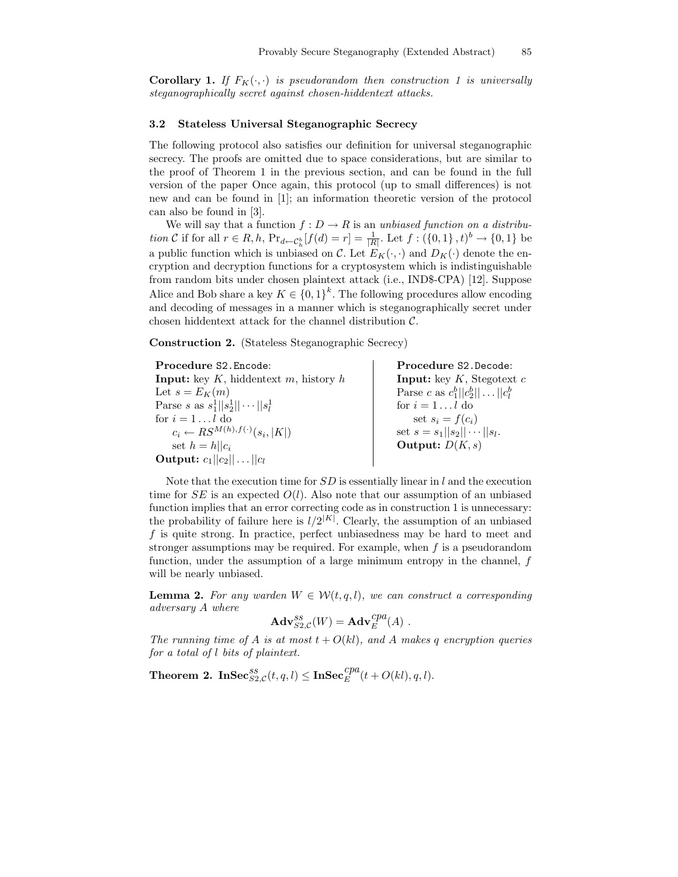Corollary 1. If  $F_K(\cdot, \cdot)$  is pseudorandom then construction 1 is universally steganographically secret against chosen-hiddentext attacks.

#### 3.2 Stateless Universal Steganographic Secrecy

The following protocol also satisfies our definition for universal steganographic secrecy. The proofs are omitted due to space considerations, but are similar to the proof of Theorem 1 in the previous section, and can be found in the full version of the paper Once again, this protocol (up to small differences) is not new and can be found in [1]; an information theoretic version of the protocol can also be found in [3].

We will say that a function  $f: D \to R$  is an unbiased function on a distribution C if for all  $r \in R$ , h,  $Pr_{d \leftarrow C_h^b}[f(d) = r] = \frac{1}{|R|}$ . Let  $f : (\{0, 1\}, t)^b \rightarrow \{0, 1\}$  be a public function which is unbiased on C. Let  $E_K(\cdot, \cdot)$  and  $D_K(\cdot)$  denote the encryption and decryption functions for a cryptosystem which is indistinguishable from random bits under chosen plaintext attack (i.e., IND\$-CPA) [12]. Suppose Alice and Bob share a key  $K \in \{0,1\}^k$ . The following procedures allow encoding and decoding of messages in a manner which is steganographically secret under chosen hiddentext attack for the channel distribution  $C$ .

Construction 2. (Stateless Steganographic Secrecy)

Procedure S2.Encode: **Input:** key K, hiddentext m, history h Let  $s = E_K(m)$ Parse s as  $s_1^1 || s_2^1 || \cdots || s_l^1$  $\text{for } i = 1...l \text{ do}$  $c_i \leftarrow RS^{M(h),f(\cdot)}(s_i,|K|)$ set  $h = h||c_i$ **Output:**  $c_1||c_2|| \dots ||c_l$ 

Procedure S2.Decode: **Input:** key  $K$ , Stegotext  $c$ Parse c as  $c_1^b || c_2^b || \ldots || c_l^b$ for  $i = 1 \dots l$  do set  $s_i = f(c_i)$ set  $s = s_1 || s_2 || \cdots || s_l.$ Output:  $D(K, s)$ 

Note that the execution time for  $SD$  is essentially linear in l and the execution time for  $SE$  is an expected  $O(l)$ . Also note that our assumption of an unbiased function implies that an error correcting code as in construction 1 is unnecessary: the probability of failure here is  $l/2^{|K|}$ . Clearly, the assumption of an unbiased f is quite strong. In practice, perfect unbiasedness may be hard to meet and stronger assumptions may be required. For example, when  $f$  is a pseudorandom function, under the assumption of a large minimum entropy in the channel,  $f$ will be nearly unbiased.

**Lemma 2.** For any warden  $W \in \mathcal{W}(t, q, l)$ , we can construct a corresponding adversary A where

$$
\mathbf{Adv}_{S2,\mathcal{C}}^{SS}(W) = \mathbf{Adv}_{E}^{cpa}(A) .
$$

The running time of A is at most  $t + O(kl)$ , and A makes q encryption queries for a total of l bits of plaintext.

Theorem 2.  $\textbf{InSec}_{S2,\mathcal{C}}^{S\mathcal{S}}(t,q,l) \leq \textbf{InSec}_{E}^{cpa}(t+O(kl),q,l).$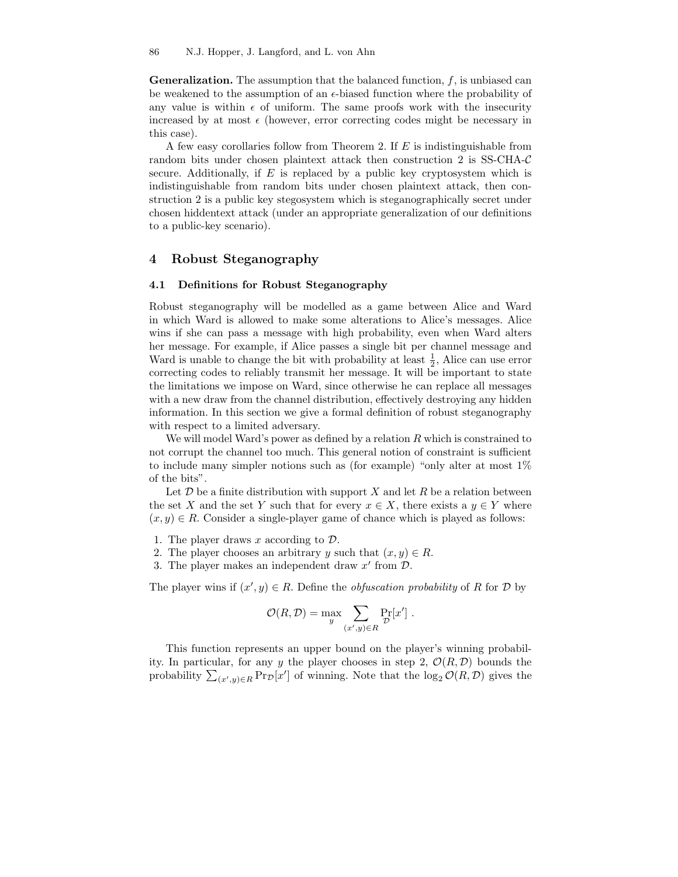**Generalization.** The assumption that the balanced function,  $f$ , is unbiased can be weakened to the assumption of an  $\epsilon$ -biased function where the probability of any value is within  $\epsilon$  of uniform. The same proofs work with the insecurity increased by at most  $\epsilon$  (however, error correcting codes might be necessary in this case).

A few easy corollaries follow from Theorem 2. If E is indistinguishable from random bits under chosen plaintext attack then construction 2 is SS-CHA-C secure. Additionally, if  $E$  is replaced by a public key cryptosystem which is indistinguishable from random bits under chosen plaintext attack, then construction 2 is a public key stegosystem which is steganographically secret under chosen hiddentext attack (under an appropriate generalization of our definitions to a public-key scenario).

# 4 Robust Steganography

## 4.1 Definitions for Robust Steganography

Robust steganography will be modelled as a game between Alice and Ward in which Ward is allowed to make some alterations to Alice's messages. Alice wins if she can pass a message with high probability, even when Ward alters her message. For example, if Alice passes a single bit per channel message and Ward is unable to change the bit with probability at least  $\frac{1}{2}$ , Alice can use error correcting codes to reliably transmit her message. It will be important to state the limitations we impose on Ward, since otherwise he can replace all messages with a new draw from the channel distribution, effectively destroying any hidden information. In this section we give a formal definition of robust steganography with respect to a limited adversary.

We will model Ward's power as defined by a relation  $R$  which is constrained to not corrupt the channel too much. This general notion of constraint is sufficient to include many simpler notions such as (for example) "only alter at most 1% of the bits".

Let  $D$  be a finite distribution with support  $X$  and let  $R$  be a relation between the set X and the set Y such that for every  $x \in X$ , there exists a  $y \in Y$  where  $(x, y) \in R$ . Consider a single-player game of chance which is played as follows:

- 1. The player draws x according to  $\mathcal{D}$ .
- 2. The player chooses an arbitrary y such that  $(x, y) \in R$ .
- 3. The player makes an independent draw  $x'$  from  $D$ .

The player wins if  $(x', y) \in R$ . Define the *obfuscation probability* of R for D by

$$
\mathcal{O}(R,\mathcal{D}) = \max_{y} \sum_{(x',y)\in R} \Pr_{\mathcal{D}}[x'] .
$$

This function represents an upper bound on the player's winning probability. In particular, for any y the player chooses in step 2,  $\mathcal{O}(R,\mathcal{D})$  bounds the probability  $\sum_{(x',y)\in R} \Pr_{\mathcal{D}}[x']$  of winning. Note that the  $\log_2 \mathcal{O}(R,\mathcal{D})$  gives the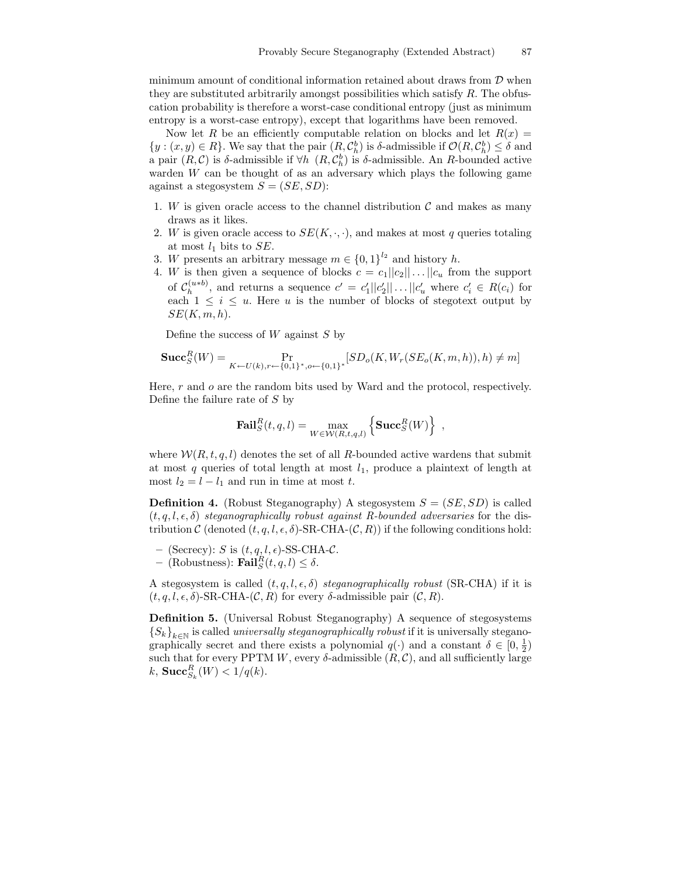minimum amount of conditional information retained about draws from  $D$  when they are substituted arbitrarily amongst possibilities which satisfy R. The obfuscation probability is therefore a worst-case conditional entropy (just as minimum entropy is a worst-case entropy), except that logarithms have been removed.

Now let R be an efficiently computable relation on blocks and let  $R(x) =$  $\{y:(x,y)\in R\}$ . We say that the pair  $(R,\mathcal{C}_h^b)$  is  $\delta$ -admissible if  $\mathcal{O}(R,\mathcal{C}_h^b)\leq \delta$  and a pair  $(R, C)$  is  $\delta$ -admissible if  $\forall h \ (R, C_h^b)$  is  $\delta$ -admissible. An R-bounded active warden  $W$  can be thought of as an adversary which plays the following game against a stegosystem  $S = (SE, SD)$ :

- 1. W is given oracle access to the channel distribution  $\mathcal C$  and makes as many draws as it likes.
- 2. W is given oracle access to  $SE(K, \cdot, \cdot)$ , and makes at most q queries totaling at most  $l_1$  bits to  $SE$ .
- 3. W presents an arbitrary message  $m \in \{0,1\}^{l_2}$  and history h.
- 4. W is then given a sequence of blocks  $c = c_1 ||c_2|| \dots ||c_u$  from the support of  $\mathcal{C}_h^{(u*b)}$  $\binom{(u*b)}{h}$ , and returns a sequence  $c' = c'_1 ||c'_2 || \dots ||c'_u$  where  $c'_i \in R(c_i)$  for each  $1 \leq i \leq u$ . Here u is the number of blocks of stegotext output by  $SE(K, m, h)$ .

Define the success of  $W$  against  $S$  by

$$
\mathbf{Succ}_{S}^{R}(W) = \Pr_{K \leftarrow U(k), r \leftarrow \{0,1\}^{*}, o \leftarrow \{0,1\}^{*}} [SD_{o}(K, W_{r}(SE_{o}(K, m, h)), h) \neq m]
$$

Here, r and o are the random bits used by Ward and the protocol, respectively. Define the failure rate of S by

$$
\mathbf{Fail}_{S}^{R}(t, q, l) = \max_{W \in \mathcal{W}(R, t, q, l)} \left\{ \mathbf{Succ}_{S}^{R}(W) \right\},
$$

where  $W(R, t, q, l)$  denotes the set of all R-bounded active wardens that submit at most  $q$  queries of total length at most  $l_1$ , produce a plaintext of length at most  $l_2 = l - l_1$  and run in time at most t.

**Definition 4.** (Robust Steganography) A stegosystem  $S = (SE, SD)$  is called  $(t, q, l, \epsilon, \delta)$  steganographically robust against R-bounded adversaries for the distribution C (denoted  $(t, q, l, \epsilon, \delta)$ -SR-CHA- $(C, R)$ ) if the following conditions hold:

- $-$  (Secrecy): S is  $(t, q, l, \epsilon)$ -SS-CHA-C.
- $-$  (Robustness): **Fail** $S(t, q, l) \leq \delta$ .

A stegosystem is called  $(t, q, l, \epsilon, \delta)$  steganographically robust (SR-CHA) if it is  $(t, q, l, \epsilon, \delta)$ -SR-CHA- $(C, R)$  for every  $\delta$ -admissible pair  $(C, R)$ .

Definition 5. (Universal Robust Steganography) A sequence of stegosystems  $\{S_k\}_{k\in\mathbb{N}}$  is called *universally steganographically robust* if it is universally steganographically secret and there exists a polynomial  $q(\cdot)$  and a constant  $\delta \in [0, \frac{1}{2})$ such that for every PPTM W, every  $\delta$ -admissible  $(R, \mathcal{C})$ , and all sufficiently large  $k, \, \mathbf{Succ}_{S_k}^R(W) < 1/q(k).$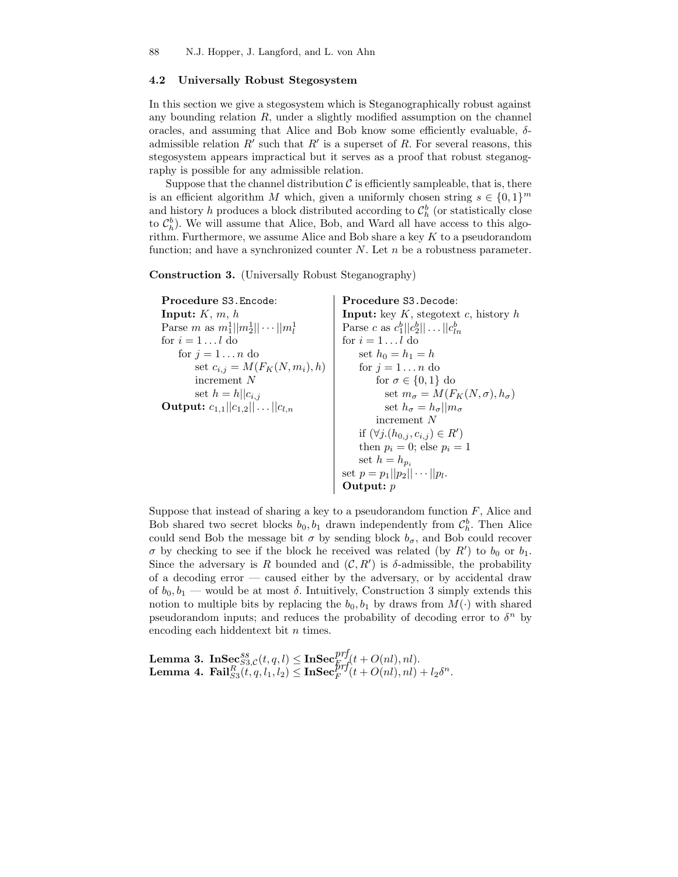# 4.2 Universally Robust Stegosystem

In this section we give a stegosystem which is Steganographically robust against any bounding relation  $R$ , under a slightly modified assumption on the channel oracles, and assuming that Alice and Bob know some efficiently evaluable,  $\delta$ admissible relation  $R'$  such that  $R'$  is a superset of R. For several reasons, this stegosystem appears impractical but it serves as a proof that robust steganography is possible for any admissible relation.

Suppose that the channel distribution  $\mathcal C$  is efficiently sampleable, that is, there is an efficient algorithm M which, given a uniformly chosen string  $s \in \{0,1\}^m$ and history h produces a block distributed according to  $\mathcal{C}_h^b$  (or statistically close to  $\mathcal{C}_h^b$ ). We will assume that Alice, Bob, and Ward all have access to this algorithm. Furthermore, we assume Alice and Bob share a key  $K$  to a pseudorandom function; and have a synchronized counter  $N$ . Let  $n$  be a robustness parameter.

Construction 3. (Universally Robust Steganography)

Procedure S3.Encode: **Input:**  $K, m, h$ Parse *m* as  $m_1^1 || m_2^1 || \cdots || m_l^1$ for  $i = 1 \dots l$  do for  $j = 1 \dots n$  do set  $c_{i,j} = M(F_K(N, m_i), h)$ increment N set  $h = h||c_{i,j}$ Output:  $c_{1,1}||c_{1,2}|| \ldots ||c_{l,n}$ Procedure S3.Decode: **Input:** key  $K$ , stegotext  $c$ , history  $h$ Parse c as  $c_1^b ||c_2^b || \ldots ||c_{ln}^b$ for  $i=1\ldots l$  do set  $h_0 = h_1 = h$ for  $j = 1 \dots n$  do for  $\sigma \in \{0,1\}$  do set  $m_{\sigma} = M(F_K(N, \sigma), h_{\sigma})$ set  $h_{\sigma} = h_{\sigma} || m_{\sigma}$ increment N if  $(∀j.(h<sub>0,j</sub>, c<sub>i,j</sub>) ∈ R')$ then  $p_i = 0$ ; else  $p_i = 1$ set  $h = h_{p_i}$ set  $p = p_1 ||p_2|| \cdots ||p_l$ . Output: p

Suppose that instead of sharing a key to a pseudorandom function  $F$ , Alice and Bob shared two secret blocks  $b_0, b_1$  drawn independently from  $\mathcal{C}_h^b$ . Then Alice could send Bob the message bit  $\sigma$  by sending block  $b_{\sigma}$ , and Bob could recover  $\sigma$  by checking to see if the block he received was related (by  $R'$ ) to  $b_0$  or  $b_1$ . Since the adversary is R bounded and  $(C, R')$  is  $\delta$ -admissible, the probability of a decoding error — caused either by the adversary, or by accidental draw of  $b_0, b_1$  — would be at most  $\delta$ . Intuitively, Construction 3 simply extends this notion to multiple bits by replacing the  $b_0, b_1$  by draws from  $M(\cdot)$  with shared pseudorandom inputs; and reduces the probability of decoding error to  $\delta^n$  by encoding each hiddentext bit *n* times.

Lemma 3.  $\text{Ins}_{P}^{ess}_{S3,\mathcal{C}}(t,q,l) \leq \text{Ins}_{\text{Erf}}^{prf}(t+O(nl),nl).$ **Lemma 4. Fail**  ${}_{S_3}^{R}(t, q, l_1, l_2) \leq$  **Insec**<sub>F</sub> ${}_{F}^{E}f(t + O(nl), nl) + l_2\delta^n$ .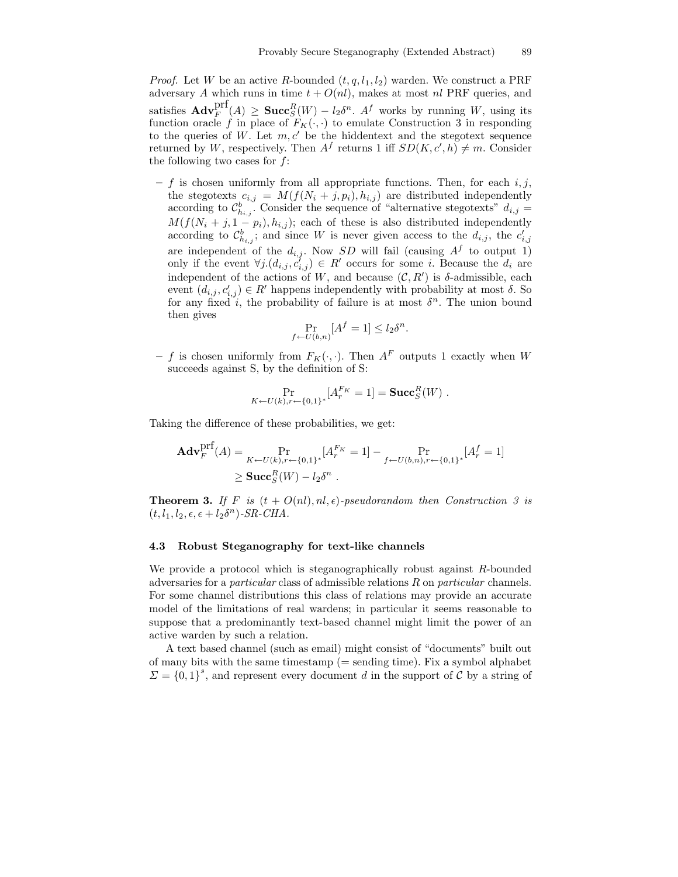*Proof.* Let W be an active R-bounded  $(t, q, l_1, l_2)$  warden. We construct a PRF adversary A which runs in time  $t + O(nl)$ , makes at most nl PRF queries, and satisfies  $\mathbf{Adv}_{F}^{\text{prf}}(A) \geq \mathbf{Succ}_{S}^{R}(W) - l_{2} \delta^{n}$ .  $A^{f}$  works by running W, using its function oracle f in place of  $F_K(\cdot, \cdot)$  to emulate Construction 3 in responding to the queries of  $W$ . Let  $m, c'$  be the hiddentext and the stegotext sequence returned by W, respectively. Then  $A^f$  returns 1 iff  $SD(K, c', h) \neq m$ . Consider the following two cases for f:

– f is chosen uniformly from all appropriate functions. Then, for each  $i, j$ , the stegotexts  $c_{i,j} = M(f(N_i + j, p_i), h_{i,j})$  are distributed independently according to  $\mathcal{C}_{h_{i,j}}^b$ . Consider the sequence of "alternative stegotexts"  $d_{i,j} =$  $M(f(N_i + j, 1 - p_i), h_{i,j});$  each of these is also distributed independently according to  $\mathcal{C}_{h_{i,j}}^{b}$ ; and since W is never given access to the  $d_{i,j}$ , the  $c'_{i,j}$ are independent of the  $d_{i,j}$ . Now SD will fail (causing  $A<sup>f</sup>$  to output 1) only if the event  $\forall j. (d_{i,j}, c'_{i,j}) \in R'$  occurs for some i. Because the  $d_i$  are independent of the actions of W, and because  $(C, R')$  is  $\delta$ -admissible, each event  $(d_{i,j}, c'_{i,j}) \in R'$  happens independently with probability at most  $\delta$ . So for any fixed i, the probability of failure is at most  $\delta^n$ . The union bound then gives

$$
\Pr_{f \leftarrow U(b,n)}[A^f = 1] \le l_2 \delta^n
$$

.

– f is chosen uniformly from  $F_K(\cdot, \cdot)$ . Then  $A^F$  outputs 1 exactly when W succeeds against S, by the definition of S:

$$
\Pr_{K \leftarrow U(k), r \leftarrow \{0,1\}^*} [A_r^{F_K} = 1] = \text{Succ}_S^R(W) .
$$

Taking the difference of these probabilities, we get:

$$
\mathbf{Adv}_{F}^{\text{prf}}(A) = \Pr_{K \leftarrow U(k), r \leftarrow \{0,1\}^{*}} [A_{r}^{F_{K}} = 1] - \Pr_{f \leftarrow U(b,n), r \leftarrow \{0,1\}^{*}} [A_{r}^{f} = 1]
$$
  
\n
$$
\geq \mathbf{Succ}_{S}^{R}(W) - l_{2} \delta^{n}.
$$

**Theorem 3.** If F is  $(t + O(nl), nl, \epsilon)$ -pseudorandom then Construction 3 is  $(t, l_1, l_2, \epsilon, \epsilon + l_2 \delta^n)$ -SR-CHA.

## 4.3 Robust Steganography for text-like channels

We provide a protocol which is steganographically robust against R-bounded adversaries for a particular class of admissible relations R on particular channels. For some channel distributions this class of relations may provide an accurate model of the limitations of real wardens; in particular it seems reasonable to suppose that a predominantly text-based channel might limit the power of an active warden by such a relation.

A text based channel (such as email) might consist of "documents" built out of many bits with the same timestamp  $(=$  sending time). Fix a symbol alphabet  $\Sigma = \{0,1\}^s$ , and represent every document d in the support of C by a string of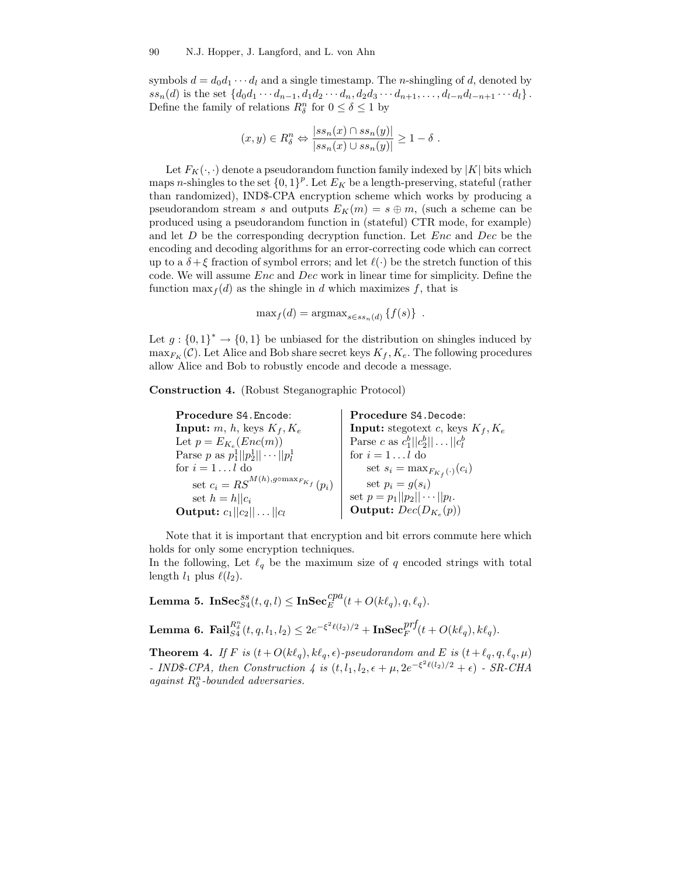symbols  $d = d_0 d_1 \cdots d_l$  and a single timestamp. The *n*-shingling of *d*, denoted by  $ss_n(d)$  is the set  $\{d_0d_1 \cdots d_{n-1}, d_1d_2 \cdots d_n, d_2d_3 \cdots d_{n+1}, \ldots, d_{l-n}d_{l-n+1} \cdots d_l\}$ . Define the family of relations  $R_\delta^n$  for  $0 \le \delta \le 1$  by

$$
(x,y) \in R_{\delta}^{n} \Leftrightarrow \frac{|ss_{n}(x) \cap ss_{n}(y)|}{|ss_{n}(x) \cup ss_{n}(y)|} \ge 1 - \delta.
$$

Let  $F_K(\cdot, \cdot)$  denote a pseudorandom function family indexed by |K| bits which maps n-shingles to the set  ${0,1}^p$ . Let  $E_K$  be a length-preserving, stateful (rather than randomized), IND\$-CPA encryption scheme which works by producing a pseudorandom stream s and outputs  $E_K(m) = s \oplus m$ , (such a scheme can be produced using a pseudorandom function in (stateful) CTR mode, for example) and let  $D$  be the corresponding decryption function. Let  $Enc$  and  $Dec$  be the encoding and decoding algorithms for an error-correcting code which can correct up to a  $\delta + \xi$  fraction of symbol errors; and let  $\ell(\cdot)$  be the stretch function of this code. We will assume Enc and Dec work in linear time for simplicity. Define the function  $\max_{f}(d)$  as the shingle in d which maximizes f, that is

$$
\max_{f}(d) = \operatorname{argmax}_{s \in s s_n(d)} \{f(s)\} .
$$

Let  $g: \{0,1\}^* \to \{0,1\}$  be unbiased for the distribution on shingles induced by  $\max_{F_K}(\mathcal{C})$ . Let Alice and Bob share secret keys  $K_f, K_e$ . The following procedures allow Alice and Bob to robustly encode and decode a message.

Construction 4. (Robust Steganographic Protocol)

Procedure S4.Encode: Input:  $m, h$ , keys  $K_f, K_e$ Let  $p = E_{K_e}(Enc(m))$ Parse p as  $p_1^1 || p_2^1 || \cdots || p_l^1$ <br>for  $i = 1 \ldots l$  do set  $c_i = RS^{M(h), g \circ \max_{F_{K_f}}}(p_i)$ set  $h = h||c_i$  $\textbf{Output:} \ c_1 || c_2 || \ldots || c_l$ Procedure S4.Decode: **Input:** stegotext c, keys  $K_f, K_e$ Parse c as  $c_1^b \vert \vert c_2^b \vert \vert \ldots \vert \vert c_l^b$ <br>for  $i = 1 \ldots l$  do set  $s_i = \max_{F_{K_f}(\cdot)}(c_i)$ set  $p_i = g(s_i)$ set  $p = p_1 ||p_2|| \cdots ||p_l$ .  $\textbf{Output:}\ \mathit{Dec}(D_{K_e}(p))$ 

Note that it is important that encryption and bit errors commute here which holds for only some encryption techniques.

In the following, Let  $\ell_q$  be the maximum size of q encoded strings with total length  $l_1$  plus  $\ell(l_2)$ .

Lemma 5.  $\text{InSec}_{S4}^{SS}(t,q,l) \leq \text{InSec}_{E}^{cpa}(t+O(k\ell_{q}),q,\ell_{q}).$ 

Lemma 6. Fail $^{R_3^n}_{S4}(t,q,l_1,l_2)\leq 2e^{-\xi^2\ell(l_2)/2}+ \mathbf{InSec}_F^{prf}(t+O(k\ell_q),k\ell_q).$ 

**Theorem 4.** If F is  $(t + O(k\ell_q), k\ell_q, \epsilon)$ -pseudorandom and E is  $(t + \ell_q, q, \ell_q, \mu)$ - IND\$-CPA, then Construction 4 is  $(t, l_1, l_2, \epsilon + \mu, 2e^{-\xi^2\ell(l_2)/2} + \epsilon)$  - SR-CHA  $a gainst\ R_{\delta}^n\mbox{-bounded adversaries}.$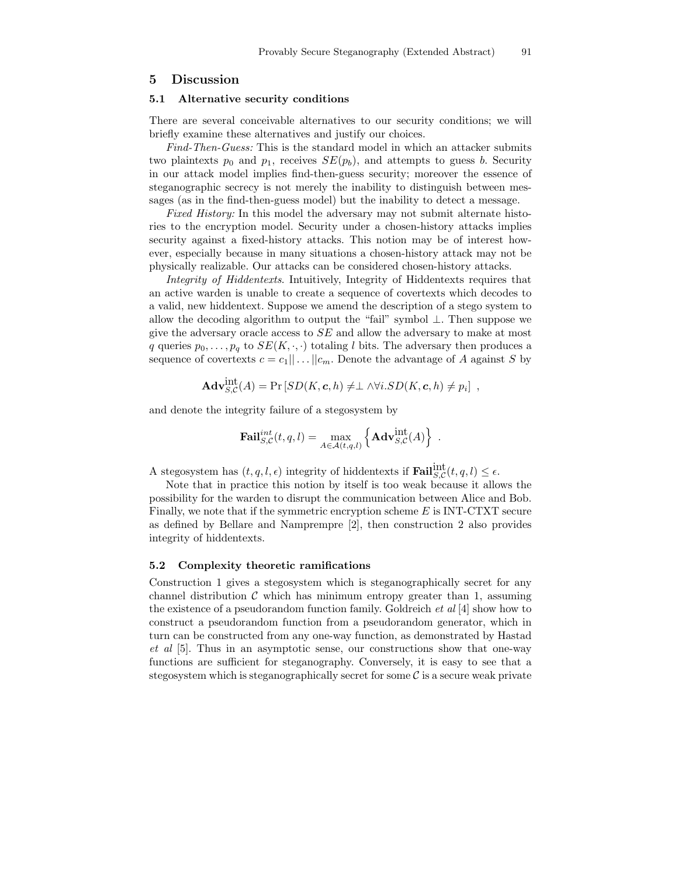# 5 Discussion

#### 5.1 Alternative security conditions

There are several conceivable alternatives to our security conditions; we will briefly examine these alternatives and justify our choices.

Find-Then-Guess: This is the standard model in which an attacker submits two plaintexts  $p_0$  and  $p_1$ , receives  $SE(p_b)$ , and attempts to guess b. Security in our attack model implies find-then-guess security; moreover the essence of steganographic secrecy is not merely the inability to distinguish between messages (as in the find-then-guess model) but the inability to detect a message.

Fixed History: In this model the adversary may not submit alternate histories to the encryption model. Security under a chosen-history attacks implies security against a fixed-history attacks. This notion may be of interest however, especially because in many situations a chosen-history attack may not be physically realizable. Our attacks can be considered chosen-history attacks.

Integrity of Hiddentexts. Intuitively, Integrity of Hiddentexts requires that an active warden is unable to create a sequence of covertexts which decodes to a valid, new hiddentext. Suppose we amend the description of a stego system to allow the decoding algorithm to output the "fail" symbol ⊥. Then suppose we give the adversary oracle access to SE and allow the adversary to make at most q queries  $p_0, \ldots, p_q$  to  $SE(K, \cdot, \cdot)$  totaling l bits. The adversary then produces a sequence of covertexts  $c = c_1 || \dots || c_m$ . Denote the advantage of A against S by

$$
\mathbf{Adv}_{S,C}^{\mathrm{int}}(A) = \Pr\left[ SD(K, \mathbf{c}, h) \neq \perp \wedge \forall i . SD(K, \mathbf{c}, h) \neq p_i \right],
$$

and denote the integrity failure of a stegosystem by

$$
\mathbf{Fail}_{S,C}^{int}(t,q,l) = \max_{A \in \mathcal{A}(t,q,l)} \left\{ \mathbf{Adv}_{S,C}^{int}(A) \right\}
$$

.

A stegosystem has  $(t, q, l, \epsilon)$  integrity of hiddentexts if  $\textbf{Fall}_{S, \mathcal{C}}^{\text{int}}(t, q, l) \leq \epsilon$ .

Note that in practice this notion by itself is too weak because it allows the possibility for the warden to disrupt the communication between Alice and Bob. Finally, we note that if the symmetric encryption scheme  $E$  is INT-CTXT secure as defined by Bellare and Namprempre [2], then construction 2 also provides integrity of hiddentexts.

#### 5.2 Complexity theoretic ramifications

Construction 1 gives a stegosystem which is steganographically secret for any channel distribution  $\mathcal C$  which has minimum entropy greater than 1, assuming the existence of a pseudorandom function family. Goldreich et al [4] show how to construct a pseudorandom function from a pseudorandom generator, which in turn can be constructed from any one-way function, as demonstrated by Hastad et al [5]. Thus in an asymptotic sense, our constructions show that one-way functions are sufficient for steganography. Conversely, it is easy to see that a stegosystem which is steganographically secret for some  $\mathcal C$  is a secure weak private